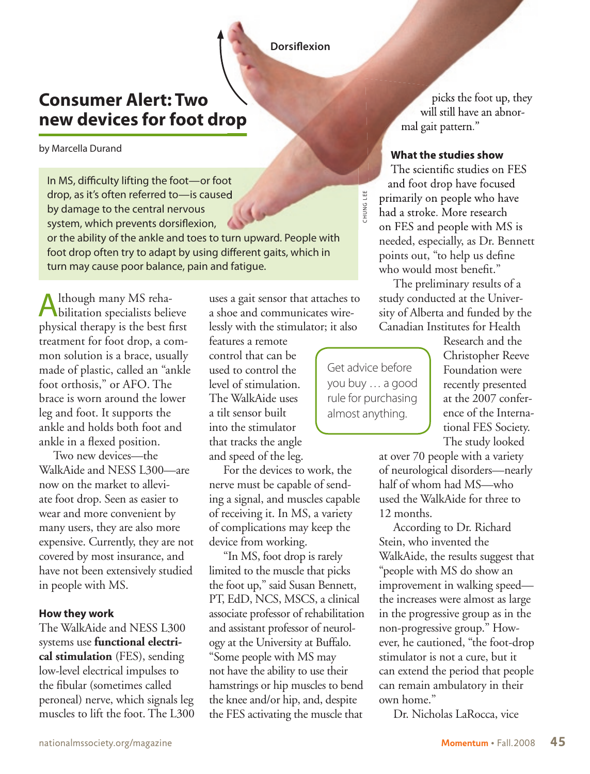## **Consumer Alert: Two new devices for foot drop**

#### by Marcella Durand

In MS, difficulty lifting the foot—or foot drop, as it's often referred to—is caused by damage to the central nervous system, which prevents dorsiflexion,

or the ability of the ankle and toes to turn upward. People with foot drop often try to adapt by using different gaits, which in turn may cause poor balance, pain and fatigue.

Although many MS reha-bilitation specialists believe physical therapy is the best first treatment for foot drop, a common solution is a brace, usually made of plastic, called an "ankle foot orthosis," or AFO. The brace is worn around the lower leg and foot. It supports the ankle and holds both foot and ankle in a flexed position.

Two new devices—the WalkAide and NESS L300—are now on the market to alleviate foot drop. Seen as easier to wear and more convenient by many users, they are also more expensive. Currently, they are not covered by most insurance, and have not been extensively studied in people with MS.

### **How they work**

The WalkAide and NESS L300 systems use **functional electrical stimulation** (FES), sending low-level electrical impulses to the fibular (sometimes called peroneal) nerve, which signals leg muscles to lift the foot. The L300 uses a gait sensor that attaches to a shoe and communicates wirelessly with the stimulator; it also

features a remote control that can be used to control the level of stimulation. The WalkAide uses a tilt sensor built into the stimulator that tracks the angle and speed of the leg.

For the devices to work, the nerve must be capable of sending a signal, and muscles capable of receiving it. In MS, a variety of complications may keep the device from working.

"In MS, foot drop is rarely limited to the muscle that picks the foot up," said Susan Bennett, PT, EdD, NCS, MSCS, a clinical associate professor of rehabilitation and assistant professor of neurology at the University at Buffalo. "Some people with MS may not have the ability to use their hamstrings or hip muscles to bend the knee and/or hip, and, despite the FES activating the muscle that

picks the foot up, they will still have an abnormal gait pattern." **Dorsiflexion**<br>
picks<br>
will still<br>
mal gait patt

### **What the studies show**

The scientific studies on FES and foot drop have focused primarily on people who have had a stroke. More research on FES and people with MS is needed, especially, as Dr. Bennett points out, "to help us define who would most benefit."

The preliminary results of a study conducted at the University of Alberta and funded by the Canadian Institutes for Health

Get advice before you buy … a good rule for purchasing almost anything.

**HUNG LEE** CHUNG LEE

> Research and the Christopher Reeve Foundation were recently presented at the 2007 conference of the International FES Society. The study looked

at over 70 people with a variety of neurological disorders—nearly half of whom had MS—who used the WalkAide for three to 12 months.

According to Dr. Richard Stein, who invented the WalkAide, the results suggest that "people with MS do show an improvement in walking speed the increases were almost as large in the progressive group as in the non-progressive group." However, he cautioned, "the foot-drop stimulator is not a cure, but it can extend the period that people can remain ambulatory in their own home."

Dr. Nicholas LaRocca, vice